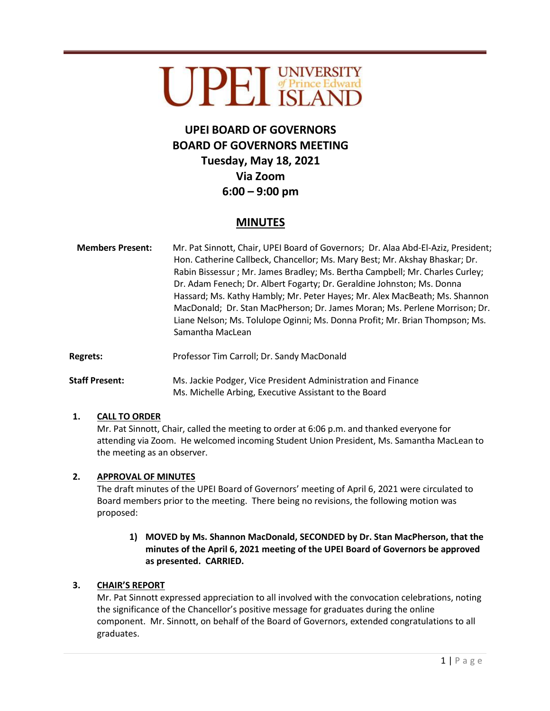# UPEL UNIVERSITY

## **UPEI BOARD OF GOVERNORS BOARD OF GOVERNORS MEETING Tuesday, May 18, 2021 Via Zoom 6:00 – 9:00 pm**

### **MINUTES**

- **Members Present:** Mr. Pat Sinnott, Chair, UPEI Board of Governors; Dr. Alaa Abd-El-Aziz, President; Hon. Catherine Callbeck, Chancellor; Ms. Mary Best; Mr. Akshay Bhaskar; Dr. Rabin Bissessur ; Mr. James Bradley; Ms. Bertha Campbell; Mr. Charles Curley; Dr. Adam Fenech; Dr. Albert Fogarty; Dr. Geraldine Johnston; Ms. Donna Hassard; Ms. Kathy Hambly; Mr. Peter Hayes; Mr. Alex MacBeath; Ms. Shannon MacDonald; Dr. Stan MacPherson; Dr. James Moran; Ms. Perlene Morrison; Dr. Liane Nelson; Ms. Tolulope Oginni; Ms. Donna Profit; Mr. Brian Thompson; Ms. Samantha MacLean
- Regrets: Professor Tim Carroll; Dr. Sandy MacDonald
- **Staff Present:** Ms. Jackie Podger, Vice President Administration and Finance Ms. Michelle Arbing, Executive Assistant to the Board

#### **1. CALL TO ORDER**

Mr. Pat Sinnott, Chair, called the meeting to order at 6:06 p.m. and thanked everyone for attending via Zoom. He welcomed incoming Student Union President, Ms. Samantha MacLean to the meeting as an observer.

#### **2. APPROVAL OF MINUTES**

The draft minutes of the UPEI Board of Governors' meeting of April 6, 2021 were circulated to Board members prior to the meeting. There being no revisions, the following motion was proposed:

**1) MOVED by Ms. Shannon MacDonald, SECONDED by Dr. Stan MacPherson, that the minutes of the April 6, 2021 meeting of the UPEI Board of Governors be approved as presented. CARRIED.** 

#### **3. CHAIR'S REPORT**

Mr. Pat Sinnott expressed appreciation to all involved with the convocation celebrations, noting the significance of the Chancellor's positive message for graduates during the online component. Mr. Sinnott, on behalf of the Board of Governors, extended congratulations to all graduates.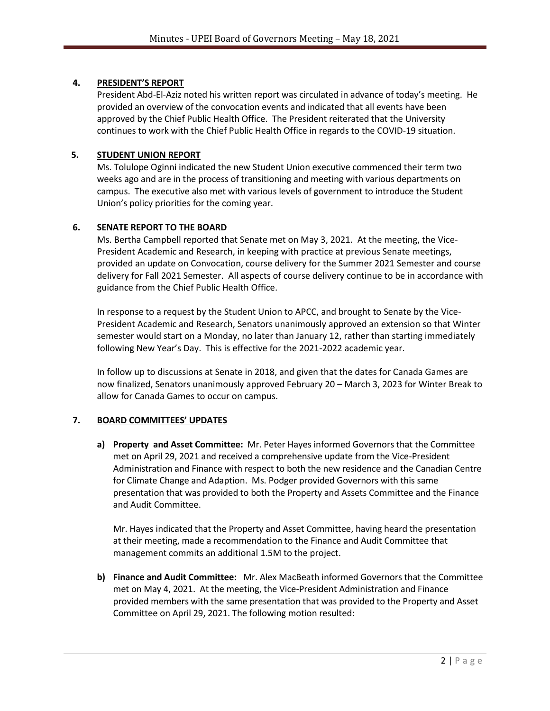#### **4. PRESIDENT'S REPORT**

President Abd-El-Aziz noted his written report was circulated in advance of today's meeting. He provided an overview of the convocation events and indicated that all events have been approved by the Chief Public Health Office. The President reiterated that the University continues to work with the Chief Public Health Office in regards to the COVID-19 situation.

#### **5. STUDENT UNION REPORT**

Ms. Tolulope Oginni indicated the new Student Union executive commenced their term two weeks ago and are in the process of transitioning and meeting with various departments on campus. The executive also met with various levels of government to introduce the Student Union's policy priorities for the coming year.

#### **6. SENATE REPORT TO THE BOARD**

Ms. Bertha Campbell reported that Senate met on May 3, 2021. At the meeting, the Vice-President Academic and Research, in keeping with practice at previous Senate meetings, provided an update on Convocation, course delivery for the Summer 2021 Semester and course delivery for Fall 2021 Semester. All aspects of course delivery continue to be in accordance with guidance from the Chief Public Health Office.

In response to a request by the Student Union to APCC, and brought to Senate by the Vice-President Academic and Research, Senators unanimously approved an extension so that Winter semester would start on a Monday, no later than January 12, rather than starting immediately following New Year's Day. This is effective for the 2021-2022 academic year.

In follow up to discussions at Senate in 2018, and given that the dates for Canada Games are now finalized, Senators unanimously approved February 20 – March 3, 2023 for Winter Break to allow for Canada Games to occur on campus.

#### **7. BOARD COMMITTEES' UPDATES**

**a) Property and Asset Committee:** Mr. Peter Hayes informed Governors that the Committee met on April 29, 2021 and received a comprehensive update from the Vice-President Administration and Finance with respect to both the new residence and the Canadian Centre for Climate Change and Adaption. Ms. Podger provided Governors with this same presentation that was provided to both the Property and Assets Committee and the Finance and Audit Committee.

Mr. Hayes indicated that the Property and Asset Committee, having heard the presentation at their meeting, made a recommendation to the Finance and Audit Committee that management commits an additional 1.5M to the project.

**b) Finance and Audit Committee:** Mr. Alex MacBeath informed Governors that the Committee met on May 4, 2021. At the meeting, the Vice-President Administration and Finance provided members with the same presentation that was provided to the Property and Asset Committee on April 29, 2021. The following motion resulted: